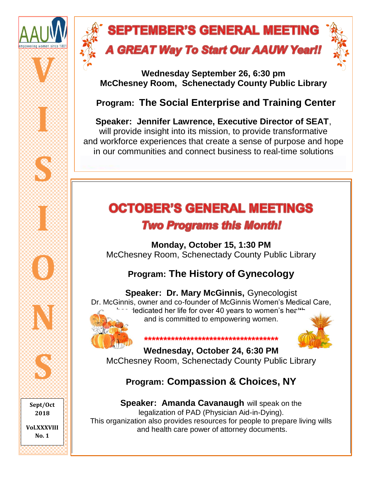

## **SEPTEMBER'S GENERAL MEETING A GREAT Way To Start Our AAUW Yearl!**



**Wednesday September 26, 6:30 pm McChesney Room, Schenectady County Public Library**

### **Program: The Social Enterprise and Training Center**

**Speaker: Jennifer Lawrence, Executive Director of SEAT**, will provide insight into its mission, to provide transformative and workforce experiences that create a sense of purpose and hope in our communities and connect business to real-time solutions

# **OCTOBER'S GENERAL MEETINGS**

### **Two Programs this Month!**

**Monday, October 15, 1:30 PM** McChesney Room, Schenectady County Public Library

### **Program: The History of Gynecology**

**Speaker: Dr. Mary McGinnis,** Gynecologist Dr. McGinnis, owner and co-founder of McGinnis Women's Medical Care,  $\sim$  1edicated her life for over 40 years to women's health and is committed to empowering women.



**\*\*\*\*\*\*\*\*\*\*\*\*\*\*\*\*\*\*\*\*\*\*\*\*\*\*\*\*\*\*\*\*\*\*\* Wednesday, October 24, 6:30 PM** McChesney Room, Schenectady County Public Library

### **Program: Compassion & Choices, NY**

**Speaker: Amanda Cavanaugh will speak on the** legalization of PAD (Physician Aid-in-Dying). This organization also provides resources for people to prepare living wills and health care power of attorney documents.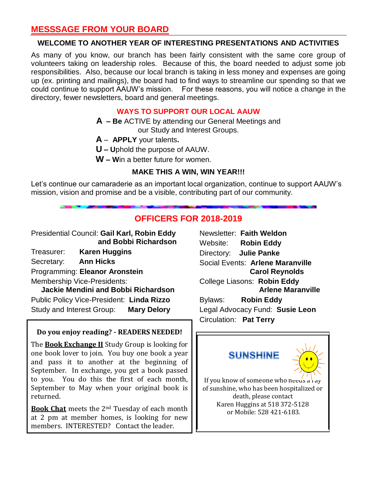### **MESSSAGE FROM YOUR BOARD**

#### **WELCOME TO ANOTHER YEAR OF INTERESTING PRESENTATIONS AND ACTIVITIES**

As many of you know, our branch has been fairly consistent with the same core group of volunteers taking on leadership roles. Because of this, the board needed to adjust some job responsibilities. Also, because our local branch is taking in less money and expenses are going up (ex. printing and mailings), the board had to find ways to streamline our spending so that we could continue to support AAUW's mission. For these reasons, you will notice a change in the directory, fewer newsletters, board and general meetings.

#### **WAYS TO SUPPORT OUR LOCAL AAUW**

- **A – Be** ACTIVE by attending our General Meetings and
	- our Study and Interest Groups.
- **A APPLY** your talents**.**
- **U – U**phold the purpose of AAUW.
- **W – W**in a better future for women.

#### **MAKE THIS A WIN, WIN YEAR!!!**

Let's continue our camaraderie as an important local organization, continue to support AAUW's mission, vision and promise and be a visible, contributing part of our community.

### **OFFICERS FOR 2018-2019**

Presidential Council: **Gail Karl, Robin Eddy and Bobbi Richardson**

Treasurer: **Karen Huggins**

Secretary: **Ann Hicks**

Programming: **Eleanor Aronstein** 

Membership Vice-Presidents:

 **Jackie Mendini and Bobbi Richardson** Public Policy Vice-President: **Linda Rizzo** Study and Interest Group: **Mary Delory**

#### **Do you enjoy reading? - READERS NEEDED!**

The **Book Exchange II** Study Group is looking for one book lover to join. You buy one book a year and pass it to another at the beginning of September. In exchange, you get a book passed to you. You do this the first of each month, September to May when your original book is returned.

**Book Chat** meets the 2nd Tuesday of each month at 2 pm at member homes, is looking for new members. INTERESTED? Contact the leader.

Newsletter: **Faith Weldon** Website: **Robin Eddy** Directory: **Julie Panke** Social Events: **Arlene Maranville Carol Reynolds**  College Liasons: **Robin Eddy Arlene Maranville** Bylaws: **Robin Eddy** Legal Advocacy Fund: **Susie Leon** Circulation: **Pat Terry**

### **SUNSHINE**



If you know of someone who needs a ray of sunshine, who has been hospitalized or death, please contact Karen Huggins at 518 372-5128 or Mobile: 528 421-6183.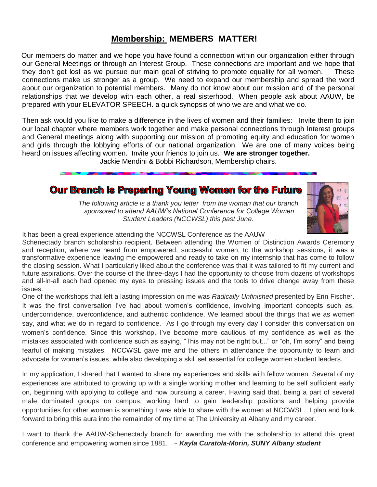### **Membership: MEMBERS MATTER!**

Our members do matter and we hope you have found a connection within our organization either through our General Meetings or through an Interest Group. These connections are important and we hope that they don't get lost as we pursue our main goal of striving to promote equality for all women. These connections make us stronger as a group. We need to expand our membership and spread the word about our organization to potential members. Many do not know about our mission and of the personal relationships that we develop with each other, a real sisterhood. When people ask about AAUW, be prepared with your ELEVATOR SPEECH. a quick synopsis of who we are and what we do.

Then ask would you like to make a difference in the lives of women and their families: Invite them to join our local chapter where members work together and make personal connections through Interest groups and General meetings along with supporting our mission of promoting equity and education for women and girls through the lobbying efforts of our national organization. We are one of many voices being heard on issues affecting women. Invite your friends to join us. **We are stronger together.** 

Jackie Mendini & Bobbi Richardson, Membership chairs.

### Our Branch is Preparing Young Women for the Future

*The following article is a thank you letter from the woman that our branch sponsored to attend AAUW's National Conference for College Women Student Leaders (NCCWSL) this past June.*



It has been a great experience attending the NCCWSL Conference as the AAUW

Schenectady branch scholarship recipient. Between attending the Women of Distinction Awards Ceremony and reception, where we heard from empowered, successful women, to the workshop sessions, it was a transformative experience leaving me empowered and ready to take on my internship that has come to follow the closing session. What I particularly liked about the conference was that it was tailored to fit my current and future aspirations. Over the course of the three-days I had the opportunity to choose from dozens of workshops and all-in-all each had opened my eyes to pressing issues and the tools to drive change away from these issues.

One of the workshops that left a lasting impression on me was *Radically Unfinished* presented by Erin Fischer. It was the first conversation I've had about women's confidence, involving important concepts such as, underconfidence, overconfidence, and authentic confidence. We learned about the things that we as women say, and what we do in regard to confidence. As I go through my every day I consider this conversation on women's confidence. Since this workshop, I've become more cautious of my confidence as well as the mistakes associated with confidence such as saying, "This may not be right but..." or "oh, I'm sorry" and being fearful of making mistakes. NCCWSL gave me and the others in attendance the opportunity to learn and advocate for women's issues, while also developing a skill set essential for college women student leaders.

In my application, I shared that I wanted to share my experiences and skills with fellow women. Several of my experiences are attributed to growing up with a single working mother and learning to be self sufficient early on, beginning with applying to college and now pursuing a career. Having said that, being a part of several male dominated groups on campus, working hard to gain leadership positions and helping provide opportunities for other women is something I was able to share with the women at NCCWSL. I plan and look forward to bring this aura into the remainder of my time at The University at Albany and my career.

I want to thank the AAUW-Schenectady branch for awarding me with the scholarship to attend this great conference and empowering women since 1881. ~ *Kayla Curatola-Morin, SUNY Albany student*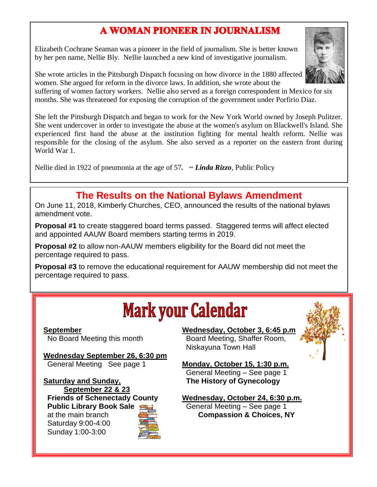### A WOMAN PIONEER IN JOURNALISM

Elizabeth Cochrane Seaman was a pioneer in the field of journalism. She is better known by her pen name, Nellie Bly. Nellie launched a new kind of investigative journalism.

She wrote articles in the Pittsburgh Dispatch focusing on how divorce in the 1880 affected women. She argued for reform in the divorce laws. In addition, she wrote about the

suffering of women factory workers. Nellie also served as a foreign correspondent in Mexico for six months. She was threatened for exposing the corruption of the government under Porfirio Diaz.

She left the Pittsburgh Dispatch and began to work for the New York World owned by Joseph Pulitzer. She went undercover in order to investigate the abuse at the women's asylum on Blackwell's Island. She experienced first hand the abuse at the institution fighting for mental health reform. Nellie was responsible for the closing of the asylum. She also served as a reporter on the eastern front during World War 1.

Nellie died in 1922 of pneumonia at the age of 57*. ~ Linda Rizzo*, Public Policy

### **The Results on the National Bylaws Amendment**

On June 11, 2018, Kimberly Churches, CEO, announced the results of the national bylaws amendment vote.

**Proposal #1** to create staggered board terms passed. Staggered terms will affect elected and appointed AAUW Board members starting terms in 2019.

**Proposal #2** to allow non-AAUW members eligibility for the Board did not meet the percentage required to pass.

**Proposal #3** to remove the educational requirement for AAUW membership did not meet the percentage required to pass.



**September** No Board Meeting this month

**Wednesday September 26, 6:30 pm** General Meeting See page 1

**Saturday and Sunday, September 22 & 23 Friends of Schenectady County Public Library Book Sale** at the main branch Saturday 9:00-4:00 Sunday 1:00-3:00

Ī



**Monday, October 15, 1:30 p.m.** General Meeting – See page 1  **The History of Gynecology**

**Wednesday, October 24, 6:30 p.m.** General Meeting – See page 1 **Compassion & Choices, NY**



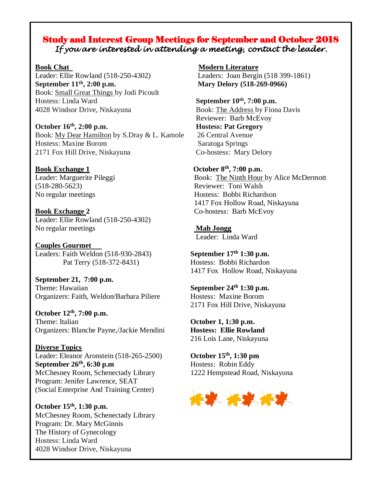#### Study and Interest Group Meetings for September and October 2018 *If you are interested in attending a meeting, contact the leader.*

Leader: Ellie Rowland (518-250-4302) Leaders: Joan Bergin (518 399-1861) **September 11<sup>th</sup>, 2:00 p.m.** Mary Delory **(518-269-0966)** Book: Small Great Things by Jodi Picoult Hostess: Linda Ward **September 10th, 7:00 p.m.** 4028 Windsor Drive, Niskayuna Book: The Address by Fiona Davis

**October 16th** Book: My Dear Hamilton by S.Dray & L. Kamole 26 Central Avenue Hostess: Maxine Borom Saratoga Springs 2171 Fox Hill Drive, Niskayuna Co-hostess: Mary Delory

(518-280-5623) Reviewer: Toni Walsh

**Book Exchange 2** Co-hostess: Barb McEvoy Leader: Ellie Rowland (518-250-4302) No regular meetings **Mah Jongg**

**Couples Gourmet** Leaders: Faith Weldon (518-930-2843) **September 17th 1:30 p.m.** Pat Terry (518-372-8431) Hostess: Bobbi Richardon

**September 21, 7:00 p.m. Theme:** Hawaiian **September 24<sup>th</sup> 1:30 p.m.** Organizers: Faith, Weldon/Barbara Piliere Hostess: Maxine Borom

**October 12th, 7:00 p.m.** Theme: Italian **October 1, 1:30 p.m.** Organizers: Blanche Payne,/Jackie Mendini **Hostess: Ellie Rowland**

**Diverse Topics** Leader: Eleanor Aronstein (518-265-2500) **October 15th, 1:30 pm September 26<sup>th</sup>, 6:30 p.m** Hostess: Robin Eddy McChesney Room, Schenectady Library 1222 Hempstead Road, Niskayuna Program: Jenifer Lawrence, SEAT (Social Enterprise And Training Center)

**October 15th, 1:30 p.m.** McChesney Room, Schenectady Library Program: Dr. Mary McGinnis The History of Gynecology Hostess: Linda Ward 4028 Windsor Drive, Niskayuna

**Book Chat Modern Literature** 

 Reviewer: Barb McEvoy **Hostess: Pat Gregory** 

**Book Exchange 1** October 8<sup>th</sup>, 7:00 p.m. Leader: Marguerite Pileggi Book: The Ninth Hour by Alice McDermott No regular meetings Hostess: Bobbi Richardson 1417 Fox Hollow Road, Niskayuna

Leader: Linda Ward

1417 Fox Hollow Road, Niskayuna

2171 Fox Hill Drive, Niskayuna

216 Lois Lane, Niskayuna